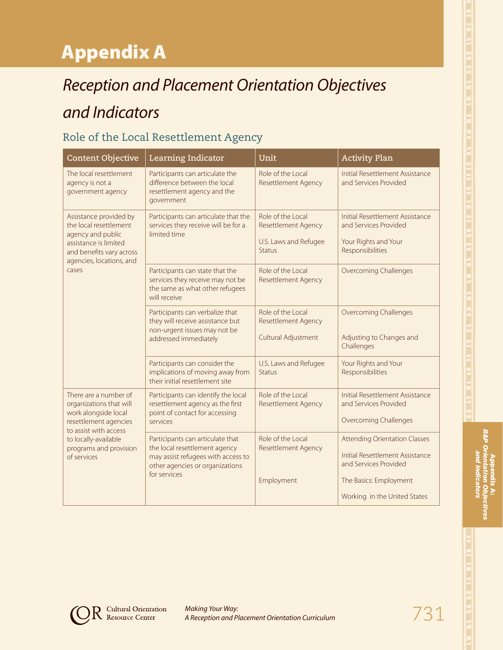# Appendix A

# *Reception and Placement Orientation Objectives and Indicators*

## Role of the Local Resettlement Agency

| <b>Content Objective</b>                                                                                                                                        | Learning Indicator                                                                                                                                         | Unit                                                                                      | <b>Activity Plan</b>                                                                                                                                       |
|-----------------------------------------------------------------------------------------------------------------------------------------------------------------|------------------------------------------------------------------------------------------------------------------------------------------------------------|-------------------------------------------------------------------------------------------|------------------------------------------------------------------------------------------------------------------------------------------------------------|
| The local resettlement<br>agency is not a<br>government agency                                                                                                  | Participants can articulate the<br>difference between the local<br>resettlement agency and the<br>government                                               | Role of the Local<br><b>Resettlement Agency</b>                                           | Initial Resettlement Assistance<br>and Services Provided                                                                                                   |
| Assistance provided by<br>the local resettlement<br>agency and public<br>assistance is limited<br>and benefits vary across<br>agencies, locations, and<br>cases | Participants can articulate that the<br>services they receive will be for a<br>limited time                                                                | Role of the Local<br><b>Resettlement Agency</b><br>U.S. Laws and Refugee<br><b>Status</b> | Initial Resettlement Assistance<br>and Services Provided<br>Your Rights and Your<br>Responsibilities                                                       |
|                                                                                                                                                                 | Participants can state that the<br>services they receive may not be<br>the same as what other refugees<br>will receive                                     | Role of the Local<br><b>Resettlement Agency</b>                                           | <b>Overcoming Challenges</b>                                                                                                                               |
|                                                                                                                                                                 | Participants can verbalize that<br>they will receive assistance but<br>non-urgent issues may not be<br>addressed immediately                               | Role of the Local<br><b>Resettlement Agency</b><br>Cultural Adjustment                    | <b>Overcoming Challenges</b><br>Adjusting to Changes and<br>Challenges                                                                                     |
|                                                                                                                                                                 | Participants can consider the<br>implications of moving away from<br>their initial resettlement site                                                       | U.S. Laws and Refugee<br><b>Status</b>                                                    | Your Rights and Your<br>Responsibilities                                                                                                                   |
| There are a number of<br>organizations that will<br>work alongside local<br>resettlement agencies<br>to assist with access                                      | Participants can identify the local<br>resettlement agency as the first<br>point of contact for accessing<br>services                                      | Role of the Local<br><b>Resettlement Agency</b>                                           | Initial Resettlement Assistance<br>and Services Provided<br><b>Overcoming Challenges</b>                                                                   |
| to locally-available<br>programs and provision<br>of services                                                                                                   | Participants can articulate that<br>the local resettlement agency<br>may assist refugees with access to<br>other agencies or organizations<br>for services | Role of the Local<br><b>Resettlement Agency</b><br>Employment                             | <b>Attending Orientation Classes</b><br>Initial Resettlement Assistance<br>and Services Provided<br>The Basics: Employment<br>Working in the United States |
|                                                                                                                                                                 |                                                                                                                                                            |                                                                                           |                                                                                                                                                            |

Appendix A: *R&P Orientation Objectives and Indicators*

**Cultural Orientation**<br>Resource Center

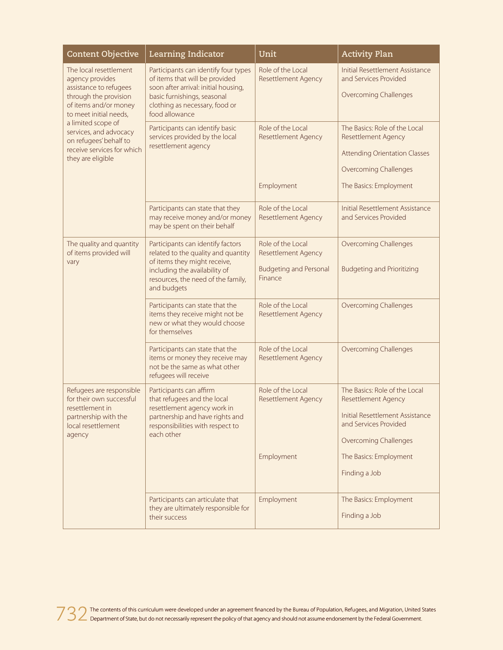| <b>Content Objective</b>                                                                                                                                                                                                                                                     | Learning Indicator                                                                                                                                                                                | Unit                                                                                        | <b>Activity Plan</b>                                                                                                                                           |
|------------------------------------------------------------------------------------------------------------------------------------------------------------------------------------------------------------------------------------------------------------------------------|---------------------------------------------------------------------------------------------------------------------------------------------------------------------------------------------------|---------------------------------------------------------------------------------------------|----------------------------------------------------------------------------------------------------------------------------------------------------------------|
| The local resettlement<br>agency provides<br>assistance to refugees<br>through the provision<br>of items and/or money<br>to meet initial needs,<br>a limited scope of<br>services, and advocacy<br>on refugees' behalf to<br>receive services for which<br>they are eligible | Participants can identify four types<br>of items that will be provided<br>soon after arrival: initial housing,<br>basic furnishings, seasonal<br>clothing as necessary, food or<br>food allowance | Role of the Local<br><b>Resettlement Agency</b>                                             | Initial Resettlement Assistance<br>and Services Provided<br><b>Overcoming Challenges</b>                                                                       |
|                                                                                                                                                                                                                                                                              | Participants can identify basic<br>services provided by the local<br>resettlement agency                                                                                                          | Role of the Local<br><b>Resettlement Agency</b><br>Employment                               | The Basics: Role of the Local<br><b>Resettlement Agency</b><br><b>Attending Orientation Classes</b><br><b>Overcoming Challenges</b><br>The Basics: Employment  |
|                                                                                                                                                                                                                                                                              | Participants can state that they<br>may receive money and/or money<br>may be spent on their behalf                                                                                                | Role of the Local<br><b>Resettlement Agency</b>                                             | <b>Initial Resettlement Assistance</b><br>and Services Provided                                                                                                |
| The quality and quantity<br>of items provided will<br>vary                                                                                                                                                                                                                   | Participants can identify factors<br>related to the quality and quantity<br>of items they might receive,<br>including the availability of<br>resources, the need of the family,<br>and budgets    | Role of the Local<br><b>Resettlement Agency</b><br><b>Budgeting and Personal</b><br>Finance | <b>Overcoming Challenges</b><br><b>Budgeting and Prioritizing</b>                                                                                              |
|                                                                                                                                                                                                                                                                              | Participants can state that the<br>items they receive might not be<br>new or what they would choose<br>for themselves                                                                             | Role of the Local<br><b>Resettlement Agency</b>                                             | <b>Overcoming Challenges</b>                                                                                                                                   |
|                                                                                                                                                                                                                                                                              | Participants can state that the<br>items or money they receive may<br>not be the same as what other<br>refugees will receive                                                                      | Role of the Local<br>Resettlement Agency                                                    | <b>Overcoming Challenges</b>                                                                                                                                   |
| Refugees are responsible<br>for their own successful<br>resettlement in<br>partnership with the<br>local resettlement<br>agency                                                                                                                                              | Participants can affirm<br>that refugees and the local<br>resettlement agency work in<br>partnership and have rights and<br>responsibilities with respect to<br>each other                        | Role of the Local<br>Resettlement Agency                                                    | The Basics: Role of the Local<br><b>Resettlement Agency</b><br><b>Initial Resettlement Assistance</b><br>and Services Provided<br><b>Overcoming Challenges</b> |
|                                                                                                                                                                                                                                                                              |                                                                                                                                                                                                   | Employment                                                                                  | The Basics: Employment<br>Finding a Job                                                                                                                        |
|                                                                                                                                                                                                                                                                              | Participants can articulate that<br>they are ultimately responsible for<br>their success                                                                                                          | Employment                                                                                  | The Basics: Employment<br>Finding a Job                                                                                                                        |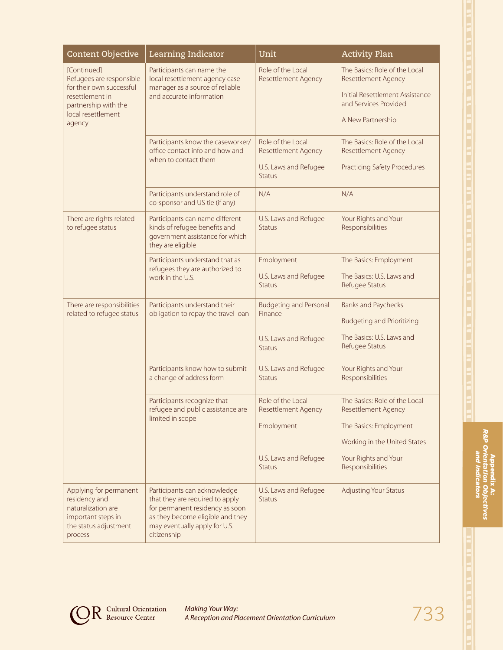| <b>Content Objective</b>                                                                                                                       | Learning Indicator                                                                                                                                                                     | Unit                                                                                                    | <b>Activity Plan</b>                                                                                                                                       |
|------------------------------------------------------------------------------------------------------------------------------------------------|----------------------------------------------------------------------------------------------------------------------------------------------------------------------------------------|---------------------------------------------------------------------------------------------------------|------------------------------------------------------------------------------------------------------------------------------------------------------------|
| [Continued]<br>Refugees are responsible<br>for their own successful<br>resettlement in<br>partnership with the<br>local resettlement<br>agency | Participants can name the<br>local resettlement agency case<br>manager as a source of reliable<br>and accurate information                                                             | Role of the Local<br>Resettlement Agency                                                                | The Basics: Role of the Local<br>Resettlement Agency<br>Initial Resettlement Assistance<br>and Services Provided<br>A New Partnership                      |
|                                                                                                                                                | Participants know the caseworker/<br>office contact info and how and<br>when to contact them                                                                                           | Role of the Local<br>Resettlement Agency<br>U.S. Laws and Refugee<br><b>Status</b>                      | The Basics: Role of the Local<br><b>Resettlement Agency</b><br><b>Practicing Safety Procedures</b>                                                         |
|                                                                                                                                                | Participants understand role of<br>co-sponsor and US tie (if any)                                                                                                                      | N/A                                                                                                     | N/A                                                                                                                                                        |
| There are rights related<br>to refugee status                                                                                                  | Participants can name different<br>kinds of refugee benefits and<br>government assistance for which<br>they are eligible                                                               | U.S. Laws and Refugee<br><b>Status</b>                                                                  | Your Rights and Your<br>Responsibilities                                                                                                                   |
|                                                                                                                                                | Participants understand that as<br>refugees they are authorized to<br>work in the U.S.                                                                                                 | Employment<br>U.S. Laws and Refugee<br><b>Status</b>                                                    | The Basics: Employment<br>The Basics: U.S. Laws and<br>Refugee Status                                                                                      |
| There are responsibilities<br>related to refugee status                                                                                        | Participants understand their<br>obligation to repay the travel loan                                                                                                                   | <b>Budgeting and Personal</b><br>Finance<br>U.S. Laws and Refugee<br><b>Status</b>                      | <b>Banks and Paychecks</b><br><b>Budgeting and Prioritizing</b><br>The Basics: U.S. Laws and<br>Refugee Status                                             |
|                                                                                                                                                | Participants know how to submit<br>a change of address form                                                                                                                            | U.S. Laws and Refugee<br><b>Status</b>                                                                  | Your Rights and Your<br>Responsibilities                                                                                                                   |
|                                                                                                                                                | Participants recognize that<br>refugee and public assistance are<br>limited in scope                                                                                                   | Role of the Local<br><b>Resettlement Agency</b><br>Employment<br>U.S. Laws and Refugee<br><b>Status</b> | The Basics: Role of the Local<br>Resettlement Agency<br>The Basics: Employment<br>Working in the United States<br>Your Rights and Your<br>Responsibilities |
| Applying for permanent<br>residency and<br>naturalization are<br>important steps in<br>the status adjustment<br>process                        | Participants can acknowledge<br>that they are required to apply<br>for permanent residency as soon<br>as they become eligible and they<br>may eventually apply for U.S.<br>citizenship | U.S. Laws and Refugee<br><b>Status</b>                                                                  | <b>Adjusting Your Status</b>                                                                                                                               |

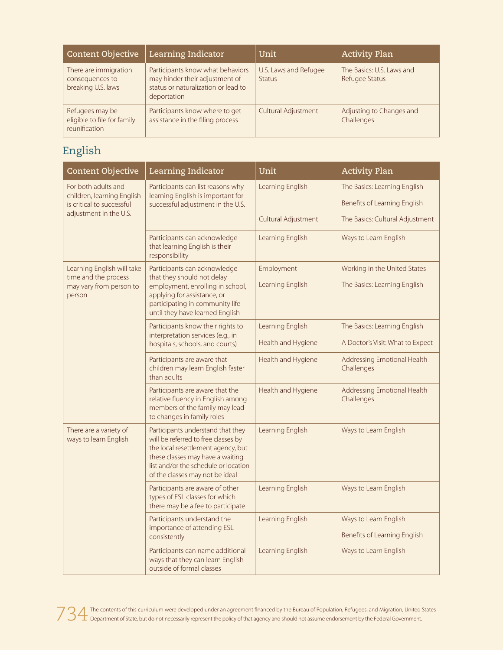| <b>Content Objective</b>                                        | Learning Indicator                                                                                                       | Unit                                   | <b>Activity Plan</b>                        |
|-----------------------------------------------------------------|--------------------------------------------------------------------------------------------------------------------------|----------------------------------------|---------------------------------------------|
| There are immigration<br>consequences to<br>breaking U.S. laws  | Participants know what behaviors<br>may hinder their adjustment of<br>status or naturalization or lead to<br>deportation | U.S. Laws and Refugee<br><b>Status</b> | The Basics: U.S. Laws and<br>Refugee Status |
| Refugees may be<br>eligible to file for family<br>reunification | Participants know where to get<br>assistance in the filing process                                                       | <b>Cultural Adjustment</b>             | Adjusting to Changes and<br>Challenges      |

# English

| <b>Content Objective</b>                                                                                 | Learning Indicator                                                                                                                                                                                                            | Unit                                   | <b>Activity Plan</b>                                             |
|----------------------------------------------------------------------------------------------------------|-------------------------------------------------------------------------------------------------------------------------------------------------------------------------------------------------------------------------------|----------------------------------------|------------------------------------------------------------------|
| For both adults and<br>children, learning English<br>is critical to successful<br>adjustment in the U.S. | Participants can list reasons why<br>learning English is important for<br>successful adjustment in the U.S.                                                                                                                   | Learning English                       | The Basics: Learning English<br>Benefits of Learning English     |
|                                                                                                          |                                                                                                                                                                                                                               | Cultural Adjustment                    | The Basics: Cultural Adjustment                                  |
|                                                                                                          | Participants can acknowledge<br>that learning English is their<br>responsibility                                                                                                                                              | Learning English                       | Ways to Learn English                                            |
| Learning English will take<br>time and the process<br>may vary from person to<br>person                  | Participants can acknowledge<br>that they should not delay<br>employment, enrolling in school,<br>applying for assistance, or<br>participating in community life<br>until they have learned English                           | Employment<br>Learning English         | Working in the United States<br>The Basics: Learning English     |
|                                                                                                          | Participants know their rights to<br>interpretation services (e.g., in<br>hospitals, schools, and courts)                                                                                                                     | Learning English<br>Health and Hygiene | The Basics: Learning English<br>A Doctor's Visit: What to Expect |
|                                                                                                          | Participants are aware that<br>children may learn English faster<br>than adults                                                                                                                                               | Health and Hygiene                     | Addressing Emotional Health<br>Challenges                        |
|                                                                                                          | Participants are aware that the<br>relative fluency in English among<br>members of the family may lead<br>to changes in family roles                                                                                          | Health and Hygiene                     | Addressing Emotional Health<br>Challenges                        |
| There are a variety of<br>ways to learn English                                                          | Participants understand that they<br>will be referred to free classes by<br>the local resettlement agency, but<br>these classes may have a waiting<br>list and/or the schedule or location<br>of the classes may not be ideal | Learning English                       | Ways to Learn English                                            |
|                                                                                                          | Participants are aware of other<br>types of ESL classes for which<br>there may be a fee to participate                                                                                                                        | Learning English                       | Ways to Learn English                                            |
|                                                                                                          | Participants understand the<br>importance of attending ESL<br>consistently                                                                                                                                                    | Learning English                       | Ways to Learn English<br>Benefits of Learning English            |
|                                                                                                          | Participants can name additional<br>ways that they can learn English<br>outside of formal classes                                                                                                                             | Learning English                       | Ways to Learn English                                            |

734 The contents of this curriculum were developed under an agreement financed by the Bureau of Population, Refugees, and Migration, United States<br>The Department of State, but do not necessarily represent the policy of tha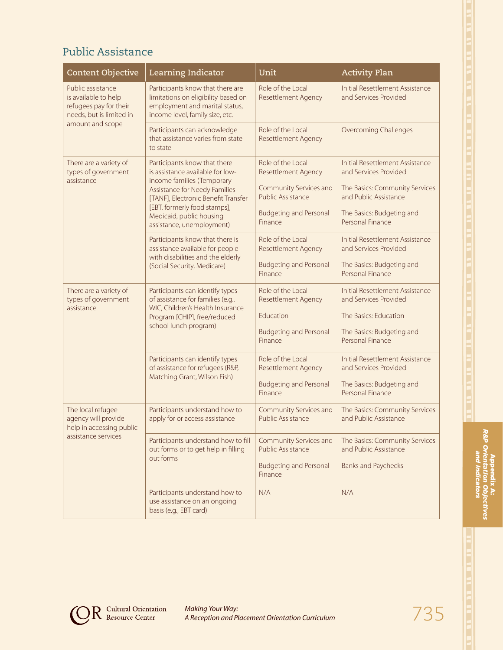# Public Assistance

| <b>Content Objective</b>                                                                                            | Learning Indicator                                                                                                                                                                                                                                              | Unit                                                                                                                                              | <b>Activity Plan</b>                                                                                                                                                        |
|---------------------------------------------------------------------------------------------------------------------|-----------------------------------------------------------------------------------------------------------------------------------------------------------------------------------------------------------------------------------------------------------------|---------------------------------------------------------------------------------------------------------------------------------------------------|-----------------------------------------------------------------------------------------------------------------------------------------------------------------------------|
| Public assistance<br>is available to help<br>refugees pay for their<br>needs, but is limited in<br>amount and scope | Participants know that there are<br>limitations on eligibility based on<br>employment and marital status,<br>income level, family size, etc.                                                                                                                    | Role of the Local<br><b>Resettlement Agency</b>                                                                                                   | Initial Resettlement Assistance<br>and Services Provided                                                                                                                    |
|                                                                                                                     | Participants can acknowledge<br>that assistance varies from state<br>to state                                                                                                                                                                                   | Role of the Local<br><b>Resettlement Agency</b>                                                                                                   | <b>Overcoming Challenges</b>                                                                                                                                                |
| There are a variety of<br>types of government<br>assistance                                                         | Participants know that there<br>is assistance available for low-<br>income families (Temporary<br>Assistance for Needy Families<br>[TANF], Electronic Benefit Transfer<br>[EBT, formerly food stamps],<br>Medicaid, public housing<br>assistance, unemployment) | Role of the Local<br><b>Resettlement Agency</b><br>Community Services and<br><b>Public Assistance</b><br><b>Budgeting and Personal</b><br>Finance | <b>Initial Resettlement Assistance</b><br>and Services Provided<br>The Basics: Community Services<br>and Public Assistance<br>The Basics: Budgeting and<br>Personal Finance |
|                                                                                                                     | Participants know that there is<br>assistance available for people<br>with disabilities and the elderly<br>(Social Security, Medicare)                                                                                                                          | Role of the Local<br><b>Resettlement Agency</b><br><b>Budgeting and Personal</b><br>Finance                                                       | Initial Resettlement Assistance<br>and Services Provided<br>The Basics: Budgeting and<br>Personal Finance                                                                   |
| There are a variety of<br>types of government<br>assistance                                                         | Participants can identify types<br>of assistance for families (e.g.,<br>WIC, Children's Health Insurance<br>Program [CHIP], free/reduced<br>school lunch program)                                                                                               | Role of the Local<br><b>Resettlement Agency</b><br>Education<br><b>Budgeting and Personal</b><br>Finance                                          | <b>Initial Resettlement Assistance</b><br>and Services Provided<br>The Basics: Education<br>The Basics: Budgeting and<br>Personal Finance                                   |
|                                                                                                                     | Participants can identify types<br>of assistance for refugees (R&P,<br>Matching Grant, Wilson Fish)                                                                                                                                                             | Role of the Local<br><b>Resettlement Agency</b><br><b>Budgeting and Personal</b><br>Finance                                                       | Initial Resettlement Assistance<br>and Services Provided<br>The Basics: Budgeting and<br>Personal Finance                                                                   |
| The local refugee<br>agency will provide<br>help in accessing public<br>assistance services                         | Participants understand how to<br>apply for or access assistance                                                                                                                                                                                                | Community Services and<br>Public Assistance                                                                                                       | The Basics: Community Services<br>and Public Assistance                                                                                                                     |
|                                                                                                                     | Participants understand how to fill<br>out forms or to get help in filling<br>out forms                                                                                                                                                                         | Community Services and<br>Public Assistance<br><b>Budgeting and Personal</b><br>Finance                                                           | The Basics: Community Services<br>and Public Assistance<br><b>Banks and Paychecks</b>                                                                                       |
|                                                                                                                     | Participants understand how to<br>use assistance on an ongoing<br>basis (e.g., EBT card)                                                                                                                                                                        | N/A                                                                                                                                               | N/A                                                                                                                                                                         |

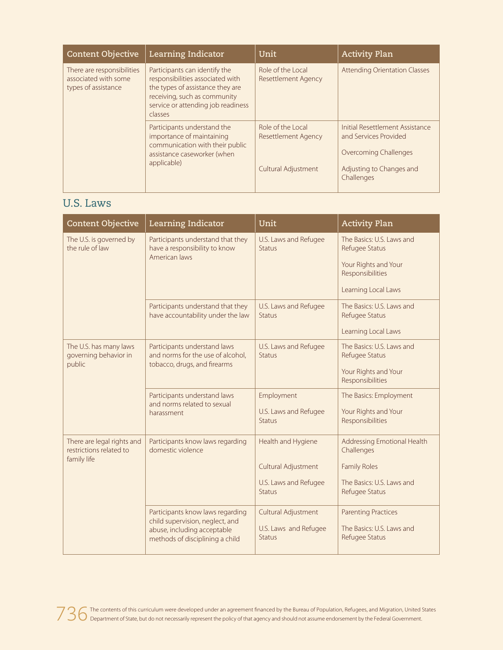| <b>Content Objective</b>                                                  | Learning Indicator                                                                                                                                                                     | Unit                                     | <b>Activity Plan</b>                                                              |
|---------------------------------------------------------------------------|----------------------------------------------------------------------------------------------------------------------------------------------------------------------------------------|------------------------------------------|-----------------------------------------------------------------------------------|
| There are responsibilities<br>associated with some<br>types of assistance | Participants can identify the<br>responsibilities associated with<br>the types of assistance they are<br>receiving, such as community<br>service or attending job readiness<br>classes | Role of the Local<br>Resettlement Agency | <b>Attending Orientation Classes</b>                                              |
|                                                                           | Participants understand the<br>importance of maintaining<br>communication with their public<br>assistance caseworker (when                                                             | Role of the Local<br>Resettlement Agency | Initial Resettlement Assistance<br>and Services Provided<br>Overcoming Challenges |
|                                                                           | applicable)                                                                                                                                                                            | Cultural Adjustment                      | Adjusting to Changes and<br>Challenges                                            |

#### U.S. Laws

| <b>Content Objective</b>                                             | Learning Indicator                                                                                                                    | Unit                                                                                | <b>Activity Plan</b>                                                                                            |
|----------------------------------------------------------------------|---------------------------------------------------------------------------------------------------------------------------------------|-------------------------------------------------------------------------------------|-----------------------------------------------------------------------------------------------------------------|
| The U.S. is governed by<br>the rule of law                           | Participants understand that they<br>have a responsibility to know<br>American laws                                                   | U.S. Laws and Refugee<br><b>Status</b>                                              | The Basics: U.S. Laws and<br>Refugee Status<br>Your Rights and Your<br>Responsibilities<br>Learning Local Laws  |
|                                                                      | Participants understand that they<br>have accountability under the law                                                                | U.S. Laws and Refugee<br>Status                                                     | The Basics: U.S. Laws and<br>Refugee Status<br>Learning Local Laws                                              |
| The U.S. has many laws<br>governing behavior in<br>public            | Participants understand laws<br>and norms for the use of alcohol,<br>tobacco, drugs, and firearms                                     | U.S. Laws and Refugee<br><b>Status</b>                                              | The Basics: U.S. Laws and<br>Refugee Status<br>Your Rights and Your<br>Responsibilities                         |
|                                                                      | Participants understand laws<br>and norms related to sexual<br>harassment                                                             | Employment<br>U.S. Laws and Refugee<br><b>Status</b>                                | The Basics: Employment<br>Your Rights and Your<br>Responsibilities                                              |
| There are legal rights and<br>restrictions related to<br>family life | Participants know laws regarding<br>domestic violence                                                                                 | Health and Hygiene<br>Cultural Adjustment<br>U.S. Laws and Refugee<br><b>Status</b> | Addressing Emotional Health<br>Challenges<br><b>Family Roles</b><br>The Basics: U.S. Laws and<br>Refugee Status |
|                                                                      | Participants know laws regarding<br>child supervision, neglect, and<br>abuse, including acceptable<br>methods of disciplining a child | Cultural Adjustment<br>U.S. Laws and Refugee<br><b>Status</b>                       | <b>Parenting Practices</b><br>The Basics: U.S. Laws and<br>Refugee Status                                       |

736 The contents of this curriculum were developed under an agreement financed by the Bureau of Population, Refugees, and Migration, United States<br>736 Department of State, but do not necessarily represent the policy of tha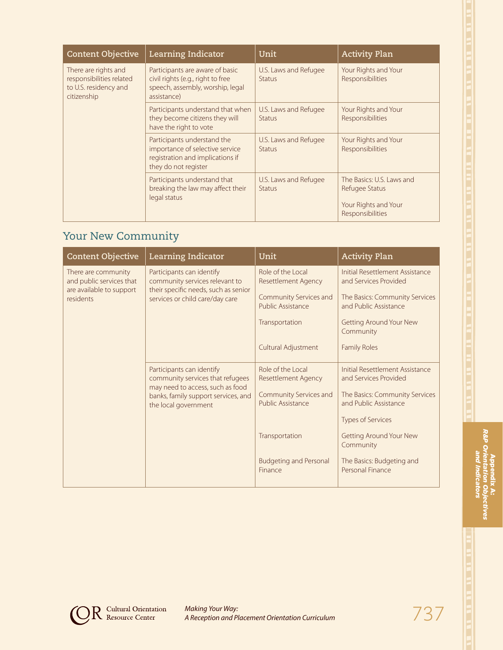| ۰ |  |
|---|--|
|   |  |
|   |  |
|   |  |
|   |  |
|   |  |
|   |  |
|   |  |
|   |  |
|   |  |
|   |  |
|   |  |
| × |  |
|   |  |
|   |  |
|   |  |
| B |  |
|   |  |
|   |  |
| ۳ |  |
|   |  |
|   |  |
|   |  |
| E |  |
|   |  |
|   |  |
| с |  |
|   |  |
|   |  |
|   |  |
|   |  |
|   |  |
|   |  |
|   |  |
| E |  |
|   |  |
|   |  |
| ۰ |  |
|   |  |
|   |  |
| н |  |
|   |  |
|   |  |
|   |  |
|   |  |
|   |  |
| ٠ |  |
|   |  |
|   |  |
|   |  |
|   |  |
| Ξ |  |
|   |  |
|   |  |
| п |  |
|   |  |
|   |  |
|   |  |
| Ξ |  |
|   |  |
|   |  |
| π |  |
|   |  |
|   |  |
|   |  |
|   |  |
|   |  |
|   |  |
| ۰ |  |
|   |  |
|   |  |
|   |  |
|   |  |
| ۰ |  |
|   |  |
|   |  |
|   |  |
|   |  |
|   |  |
|   |  |
|   |  |
|   |  |
| ۰ |  |

| <b>Content Objective</b>                                                                 | Learning Indicator                                                                                                         | Unit                                   | <b>Activity Plan</b>                                                                    |
|------------------------------------------------------------------------------------------|----------------------------------------------------------------------------------------------------------------------------|----------------------------------------|-----------------------------------------------------------------------------------------|
| There are rights and<br>responsibilities related<br>to U.S. residency and<br>citizenship | Participants are aware of basic<br>civil rights (e.g., right to free<br>speech, assembly, worship, legal<br>assistance)    | U.S. Laws and Refugee<br><b>Status</b> | Your Rights and Your<br>Responsibilities                                                |
|                                                                                          | Participants understand that when<br>they become citizens they will<br>have the right to vote                              | U.S. Laws and Refugee<br><b>Status</b> | Your Rights and Your<br>Responsibilities                                                |
|                                                                                          | Participants understand the<br>importance of selective service<br>registration and implications if<br>they do not register | U.S. Laws and Refugee<br><b>Status</b> | Your Rights and Your<br>Responsibilities                                                |
|                                                                                          | Participants understand that<br>breaking the law may affect their<br>legal status                                          | U.S. Laws and Refugee<br><b>Status</b> | The Basics: U.S. Laws and<br>Refugee Status<br>Your Rights and Your<br>Responsibilities |

# Your New Community

| <b>Content Objective</b>                                                                        | Learning Indicator                                                                                                                                               | Unit                                                                                           | <b>Activity Plan</b>                                                                                                |
|-------------------------------------------------------------------------------------------------|------------------------------------------------------------------------------------------------------------------------------------------------------------------|------------------------------------------------------------------------------------------------|---------------------------------------------------------------------------------------------------------------------|
| There are community<br>and public services that<br>are available to support<br><b>residents</b> | Participants can identify<br>community services relevant to<br>their specific needs, such as senior<br>services or child care/day care                           | Role of the Local<br>Resettlement Agency<br>Community Services and<br><b>Public Assistance</b> | Initial Resettlement Assistance<br>and Services Provided<br>The Basics: Community Services<br>and Public Assistance |
|                                                                                                 |                                                                                                                                                                  | Transportation                                                                                 | <b>Getting Around Your New</b><br>Community                                                                         |
|                                                                                                 |                                                                                                                                                                  | Cultural Adjustment                                                                            | <b>Family Roles</b>                                                                                                 |
|                                                                                                 | Participants can identify<br>community services that refugees<br>may need to access, such as food<br>banks, family support services, and<br>the local government | Role of the Local<br>Resettlement Agency                                                       | Initial Resettlement Assistance<br>and Services Provided                                                            |
|                                                                                                 |                                                                                                                                                                  | Community Services and<br>Public Assistance                                                    | The Basics: Community Services<br>and Public Assistance                                                             |
|                                                                                                 |                                                                                                                                                                  |                                                                                                | <b>Types of Services</b>                                                                                            |
|                                                                                                 |                                                                                                                                                                  | Transportation                                                                                 | Getting Around Your New<br>Community                                                                                |
|                                                                                                 |                                                                                                                                                                  | <b>Budgeting and Personal</b><br>Finance                                                       | The Basics: Budgeting and<br>Personal Finance                                                                       |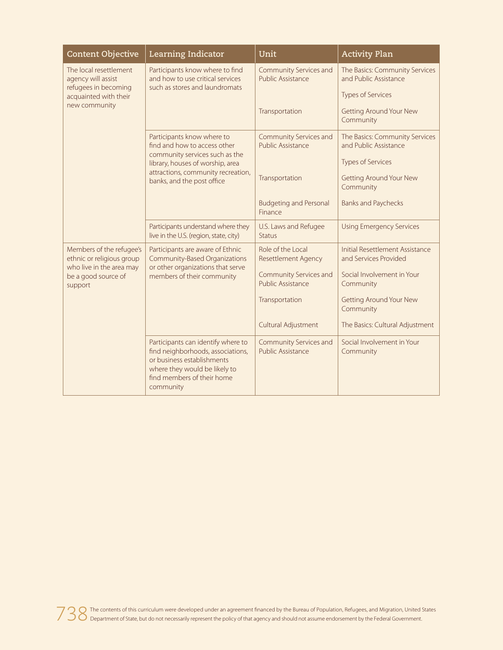| <b>Content Objective</b>                                                                                       | Learning Indicator                                                                                                                                                                | Unit                                               | <b>Activity Plan</b>                                     |
|----------------------------------------------------------------------------------------------------------------|-----------------------------------------------------------------------------------------------------------------------------------------------------------------------------------|----------------------------------------------------|----------------------------------------------------------|
| The local resettlement<br>agency will assist<br>refugees in becoming<br>acquainted with their<br>new community | Participants know where to find<br>and how to use critical services<br>such as stores and laundromats                                                                             | Community Services and<br><b>Public Assistance</b> | The Basics: Community Services<br>and Public Assistance  |
|                                                                                                                |                                                                                                                                                                                   |                                                    | Types of Services                                        |
|                                                                                                                |                                                                                                                                                                                   | Transportation                                     | <b>Getting Around Your New</b><br>Community              |
|                                                                                                                | Participants know where to<br>find and how to access other<br>community services such as the                                                                                      | Community Services and<br>Public Assistance        | The Basics: Community Services<br>and Public Assistance  |
|                                                                                                                | library, houses of worship, area                                                                                                                                                  |                                                    | <b>Types of Services</b>                                 |
|                                                                                                                | attractions, community recreation,<br>banks, and the post office                                                                                                                  | Transportation                                     | <b>Getting Around Your New</b><br>Community              |
|                                                                                                                |                                                                                                                                                                                   | <b>Budgeting and Personal</b><br>Finance           | <b>Banks and Paychecks</b>                               |
|                                                                                                                | Participants understand where they<br>live in the U.S. (region, state, city)                                                                                                      | U.S. Laws and Refugee<br>Status                    | <b>Using Emergency Services</b>                          |
| Members of the refugee's<br>ethnic or religious group                                                          | Participants are aware of Ethnic<br><b>Community-Based Organizations</b><br>or other organizations that serve<br>members of their community                                       | Role of the Local<br><b>Resettlement Agency</b>    | Initial Resettlement Assistance<br>and Services Provided |
| who live in the area may<br>be a good source of<br>support                                                     |                                                                                                                                                                                   | Community Services and<br><b>Public Assistance</b> | Social Involvement in Your<br>Community                  |
|                                                                                                                |                                                                                                                                                                                   | Transportation                                     | <b>Getting Around Your New</b><br>Community              |
|                                                                                                                |                                                                                                                                                                                   | Cultural Adjustment                                | The Basics: Cultural Adjustment                          |
|                                                                                                                | Participants can identify where to<br>find neighborhoods, associations,<br>or business establishments<br>where they would be likely to<br>find members of their home<br>community | Community Services and<br>Public Assistance        | Social Involvement in Your<br>Community                  |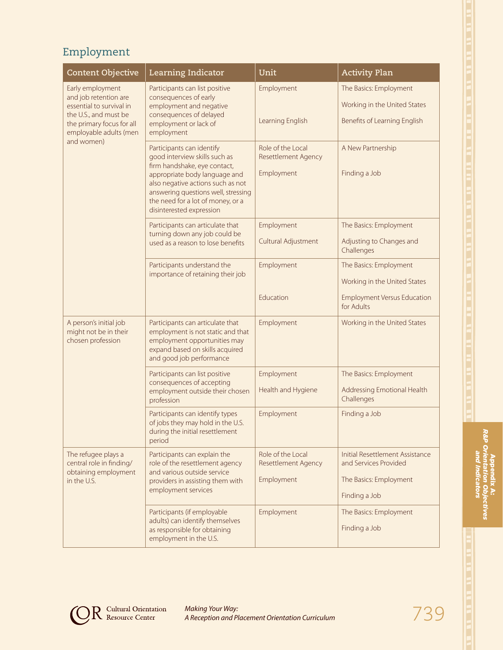## Employment

| <b>Content Objective</b>                                                               | Learning Indicator                                                                                                                                                                                                                                                       | Unit                                                          | <b>Activity Plan</b>                                            |
|----------------------------------------------------------------------------------------|--------------------------------------------------------------------------------------------------------------------------------------------------------------------------------------------------------------------------------------------------------------------------|---------------------------------------------------------------|-----------------------------------------------------------------|
| Early employment<br>and job retention are                                              | Participants can list positive<br>consequences of early                                                                                                                                                                                                                  | Employment                                                    | The Basics: Employment                                          |
| essential to survival in                                                               | employment and negative                                                                                                                                                                                                                                                  |                                                               | Working in the United States                                    |
| the U.S., and must be<br>the primary focus for all<br>employable adults (men           | consequences of delayed<br>employment or lack of<br>employment                                                                                                                                                                                                           | Learning English                                              | Benefits of Learning English                                    |
| and women)                                                                             | Participants can identify<br>good interview skills such as<br>firm handshake, eye contact,<br>appropriate body language and<br>also negative actions such as not<br>answering questions well, stressing<br>the need for a lot of money, or a<br>disinterested expression | Role of the Local<br><b>Resettlement Agency</b><br>Employment | A New Partnership<br>Finding a Job                              |
|                                                                                        | Participants can articulate that<br>turning down any job could be                                                                                                                                                                                                        | Employment                                                    | The Basics: Employment                                          |
|                                                                                        | used as a reason to lose benefits                                                                                                                                                                                                                                        | Cultural Adjustment                                           | Adjusting to Changes and<br>Challenges                          |
|                                                                                        | Participants understand the                                                                                                                                                                                                                                              | Employment                                                    | The Basics: Employment                                          |
|                                                                                        | importance of retaining their job                                                                                                                                                                                                                                        |                                                               | Working in the United States                                    |
|                                                                                        |                                                                                                                                                                                                                                                                          | Education                                                     | <b>Employment Versus Education</b><br>for Adults                |
| A person's initial job<br>might not be in their<br>chosen profession                   | Participants can articulate that<br>employment is not static and that<br>employment opportunities may<br>expand based on skills acquired<br>and good job performance                                                                                                     | Employment                                                    | Working in the United States                                    |
|                                                                                        | Participants can list positive<br>consequences of accepting                                                                                                                                                                                                              | Employment                                                    | The Basics: Employment                                          |
|                                                                                        | employment outside their chosen<br>profession                                                                                                                                                                                                                            | Health and Hygiene                                            | Addressing Emotional Health<br>Challenges                       |
|                                                                                        | Participants can identify types<br>of jobs they may hold in the U.S.<br>during the initial resettlement<br>period                                                                                                                                                        | Employment                                                    | Finding a Job                                                   |
| The refugee plays a<br>central role in finding/<br>obtaining employment<br>in the U.S. | Participants can explain the<br>role of the resettlement agency                                                                                                                                                                                                          | Role of the Local<br><b>Resettlement Agency</b>               | <b>Initial Resettlement Assistance</b><br>and Services Provided |
|                                                                                        | and various outside service<br>providers in assisting them with                                                                                                                                                                                                          | Employment                                                    | The Basics: Employment                                          |
|                                                                                        | employment services                                                                                                                                                                                                                                                      |                                                               | Finding a Job                                                   |
|                                                                                        | Participants (if employable<br>adults) can identify themselves<br>as responsible for obtaining<br>employment in the U.S.                                                                                                                                                 | Employment                                                    | The Basics: Employment<br>Finding a Job                         |



Appendix A: *R&P Orientation Objectives and Indicators*

Appendix A:<br>*R&P Orientation Obji*<br>and *Indicators* 

**Ves** 

**OR** Cultural Orientation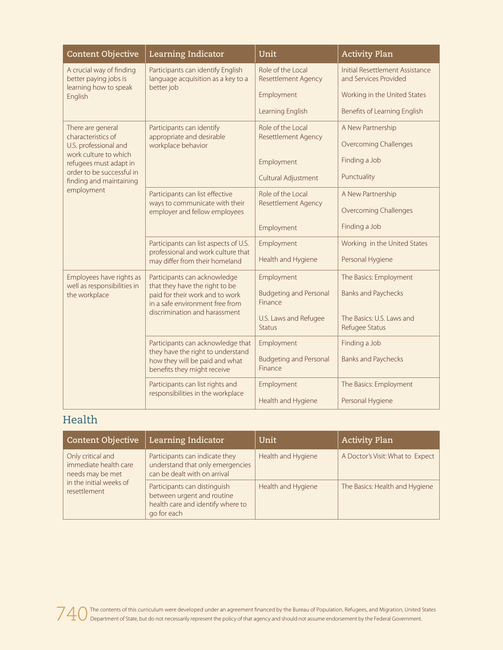| <b>Content Objective</b>                             | Learning Indicator                                                                                 | Unit                                            | <b>Activity Plan</b>                                     |
|------------------------------------------------------|----------------------------------------------------------------------------------------------------|-------------------------------------------------|----------------------------------------------------------|
| A crucial way of finding<br>better paying jobs is    | Participants can identify English<br>language acquisition as a key to a                            | Role of the Local<br><b>Resettlement Agency</b> | Initial Resettlement Assistance<br>and Services Provided |
| learning how to speak<br>English                     | better job                                                                                         | Employment                                      | Working in the United States                             |
|                                                      |                                                                                                    | Learning English                                | Benefits of Learning English                             |
| There are general<br>characteristics of              | Participants can identify                                                                          | Role of the Local                               | A New Partnership                                        |
| U.S. professional and                                | appropriate and desirable<br>workplace behavior                                                    | <b>Resettlement Agency</b>                      | <b>Overcoming Challenges</b>                             |
| work culture to which<br>refugees must adapt in      |                                                                                                    | Employment                                      | Finding a Job                                            |
| order to be successful in<br>finding and maintaining |                                                                                                    | Cultural Adjustment                             | Punctuality                                              |
| employment                                           | Participants can list effective                                                                    | Role of the Local                               | A New Partnership                                        |
|                                                      | ways to communicate with their<br>employer and fellow employees                                    | <b>Resettlement Agency</b>                      | Overcoming Challenges                                    |
|                                                      |                                                                                                    | Employment                                      | Finding a Job                                            |
|                                                      | Participants can list aspects of U.S.<br>professional and work culture that                        | Employment                                      | Working in the United States                             |
|                                                      | may differ from their homeland                                                                     | Health and Hygiene                              | Personal Hygiene                                         |
| Employees have rights as                             | Participants can acknowledge<br>that they have the right to be                                     | Employment                                      | The Basics: Employment                                   |
| well as responsibilities in<br>the workplace         | paid for their work and to work<br>in a safe environment free from                                 | <b>Budgeting and Personal</b><br>Finance        | <b>Banks and Paychecks</b>                               |
|                                                      | discrimination and harassment                                                                      | U.S. Laws and Refugee<br>Status                 | The Basics: U.S. Laws and<br>Refugee Status              |
|                                                      | Participants can acknowledge that                                                                  | Employment                                      | Finding a Job                                            |
|                                                      | they have the right to understand<br>how they will be paid and what<br>benefits they might receive | <b>Budgeting and Personal</b><br>Finance        | <b>Banks and Paychecks</b>                               |
|                                                      | Participants can list rights and<br>responsibilities in the workplace                              | Employment                                      | The Basics: Employment                                   |
|                                                      |                                                                                                    | Health and Hygiene                              | Personal Hygiene                                         |

#### Health

| <b>Content Objective</b>                                       | Learning Indicator                                                                                             | Unit               | <b>Activity Plan</b>             |
|----------------------------------------------------------------|----------------------------------------------------------------------------------------------------------------|--------------------|----------------------------------|
| Only critical and<br>immediate health care<br>needs may be met | Participants can indicate they<br>understand that only emergencies<br>can be dealt with on arrival             | Health and Hygiene | A Doctor's Visit: What to Expect |
| in the initial weeks of<br>resettlement                        | Participants can distinguish<br>between urgent and routine<br>health care and identify where to<br>go for each | Health and Hygiene | The Basics: Health and Hygiene   |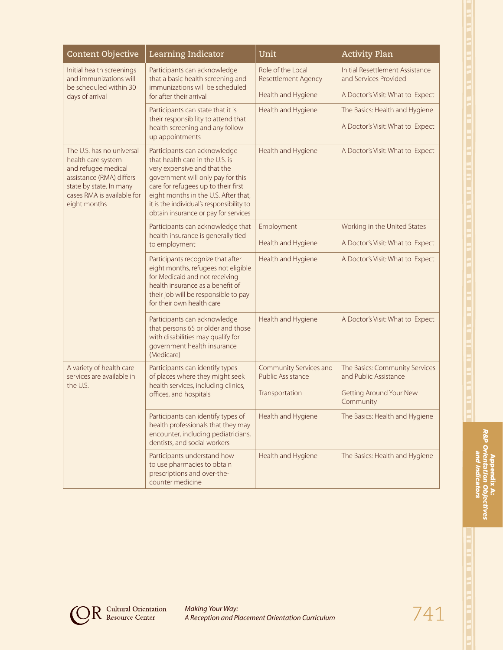| <b>Content Objective</b>                                                                                                                                                    | Learning Indicator                                                                                                                                                                                                                                                                                     | Unit                                               | <b>Activity Plan</b>                                     |
|-----------------------------------------------------------------------------------------------------------------------------------------------------------------------------|--------------------------------------------------------------------------------------------------------------------------------------------------------------------------------------------------------------------------------------------------------------------------------------------------------|----------------------------------------------------|----------------------------------------------------------|
| Initial health screenings<br>and immunizations will<br>be scheduled within 30                                                                                               | Participants can acknowledge<br>that a basic health screening and<br>immunizations will be scheduled                                                                                                                                                                                                   | Role of the Local<br><b>Resettlement Agency</b>    | Initial Resettlement Assistance<br>and Services Provided |
| days of arrival                                                                                                                                                             | for after their arrival                                                                                                                                                                                                                                                                                | Health and Hygiene                                 | A Doctor's Visit: What to Expect                         |
|                                                                                                                                                                             | Participants can state that it is<br>their responsibility to attend that                                                                                                                                                                                                                               | Health and Hygiene                                 | The Basics: Health and Hygiene                           |
|                                                                                                                                                                             | health screening and any follow<br>up appointments                                                                                                                                                                                                                                                     |                                                    | A Doctor's Visit: What to Expect                         |
| The U.S. has no universal<br>health care system<br>and refugee medical<br>assistance (RMA) differs<br>state by state. In many<br>cases RMA is available for<br>eight months | Participants can acknowledge<br>that health care in the U.S. is<br>very expensive and that the<br>government will only pay for this<br>care for refugees up to their first<br>eight months in the U.S. After that,<br>it is the individual's responsibility to<br>obtain insurance or pay for services | Health and Hygiene                                 | A Doctor's Visit: What to Expect                         |
|                                                                                                                                                                             | Participants can acknowledge that                                                                                                                                                                                                                                                                      | Employment                                         | Working in the United States                             |
|                                                                                                                                                                             | health insurance is generally tied<br>to employment                                                                                                                                                                                                                                                    | Health and Hygiene                                 | A Doctor's Visit: What to Expect                         |
|                                                                                                                                                                             | Participants recognize that after<br>eight months, refugees not eligible<br>for Medicaid and not receiving<br>health insurance as a benefit of<br>their job will be responsible to pay<br>for their own health care                                                                                    | Health and Hygiene                                 | A Doctor's Visit: What to Expect                         |
|                                                                                                                                                                             | Participants can acknowledge<br>that persons 65 or older and those<br>with disabilities may qualify for<br>government health insurance<br>(Medicare)                                                                                                                                                   | Health and Hygiene                                 | A Doctor's Visit: What to Expect                         |
| A variety of health care<br>services are available in<br>the U.S.                                                                                                           | Participants can identify types<br>of places where they might seek                                                                                                                                                                                                                                     | Community Services and<br><b>Public Assistance</b> | The Basics: Community Services<br>and Public Assistance  |
|                                                                                                                                                                             | health services, including clinics,<br>offices, and hospitals                                                                                                                                                                                                                                          | Transportation                                     | <b>Getting Around Your New</b><br>Community              |
|                                                                                                                                                                             | Participants can identify types of<br>health professionals that they may<br>encounter, including pediatricians,<br>dentists, and social workers                                                                                                                                                        | Health and Hygiene                                 | The Basics: Health and Hygiene                           |
|                                                                                                                                                                             | Participants understand how<br>to use pharmacies to obtain<br>prescriptions and over-the-<br>counter medicine                                                                                                                                                                                          | Health and Hygiene                                 | The Basics: Health and Hygiene                           |



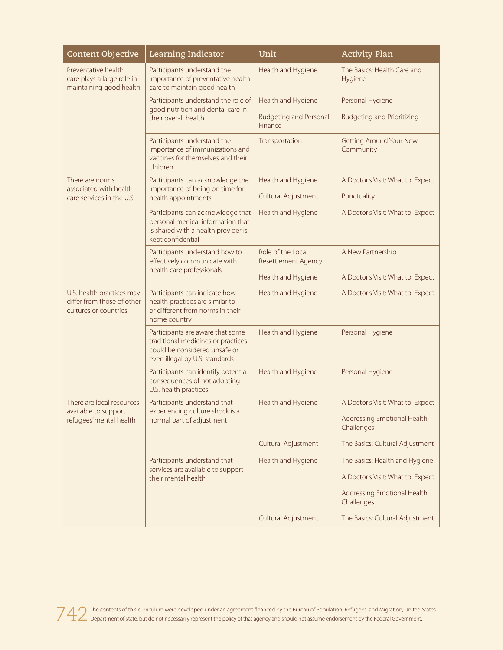| <b>Content Objective</b>                                                         | Learning Indicator                                                                                                                        | Unit                                            | <b>Activity Plan</b>                        |
|----------------------------------------------------------------------------------|-------------------------------------------------------------------------------------------------------------------------------------------|-------------------------------------------------|---------------------------------------------|
| Preventative health<br>care plays a large role in<br>maintaining good health     | Participants understand the<br>importance of preventative health<br>care to maintain good health                                          | Health and Hygiene                              | The Basics: Health Care and<br>Hygiene      |
|                                                                                  | Participants understand the role of                                                                                                       | Health and Hygiene                              | Personal Hygiene                            |
|                                                                                  | good nutrition and dental care in<br>their overall health                                                                                 | <b>Budgeting and Personal</b><br>Finance        | <b>Budgeting and Prioritizing</b>           |
|                                                                                  | Participants understand the<br>importance of immunizations and<br>vaccines for themselves and their<br>children                           | Transportation                                  | <b>Getting Around Your New</b><br>Community |
| There are norms<br>associated with health                                        | Participants can acknowledge the<br>importance of being on time for                                                                       | Health and Hygiene                              | A Doctor's Visit: What to Expect            |
| care services in the U.S.                                                        | health appointments                                                                                                                       | Cultural Adjustment                             | Punctuality                                 |
|                                                                                  | Participants can acknowledge that<br>personal medical information that<br>is shared with a health provider is<br>kept confidential        | Health and Hygiene                              | A Doctor's Visit: What to Expect            |
|                                                                                  | Participants understand how to<br>effectively communicate with                                                                            | Role of the Local<br><b>Resettlement Agency</b> | A New Partnership                           |
|                                                                                  | health care professionals                                                                                                                 | Health and Hygiene                              | A Doctor's Visit: What to Expect            |
| U.S. health practices may<br>differ from those of other<br>cultures or countries | Participants can indicate how<br>health practices are similar to<br>or different from norms in their<br>home country                      | Health and Hygiene                              | A Doctor's Visit: What to Expect            |
|                                                                                  | Participants are aware that some<br>traditional medicines or practices<br>could be considered unsafe or<br>even illegal by U.S. standards | Health and Hygiene                              | Personal Hygiene                            |
|                                                                                  | Participants can identify potential<br>consequences of not adopting<br>U.S. health practices                                              | Health and Hygiene                              | Personal Hygiene                            |
| There are local resources<br>available to support                                | Participants understand that<br>experiencing culture shock is a<br>normal part of adjustment                                              | Health and Hygiene                              | A Doctor's Visit: What to Expect            |
| refugees' mental health                                                          |                                                                                                                                           |                                                 | Addressing Emotional Health<br>Challenges   |
|                                                                                  |                                                                                                                                           | Cultural Adjustment                             | The Basics: Cultural Adjustment             |
|                                                                                  | Participants understand that<br>services are available to support                                                                         | Health and Hygiene                              | The Basics: Health and Hygiene              |
|                                                                                  | their mental health                                                                                                                       |                                                 | A Doctor's Visit: What to Expect            |
|                                                                                  |                                                                                                                                           |                                                 | Addressing Emotional Health<br>Challenges   |
|                                                                                  |                                                                                                                                           | Cultural Adjustment                             | The Basics: Cultural Adjustment             |

742 The contents of this curriculum were developed under an agreement financed by the Bureau of Population, Refugees, and Migration, United States Department of States but do not necessarily represent the policy of that ag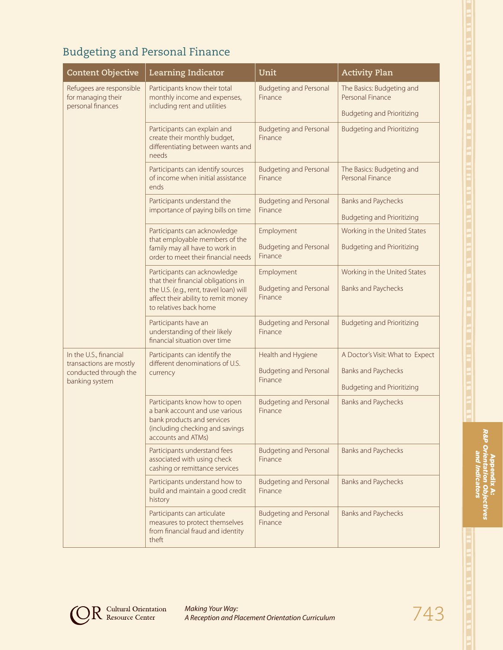# Budgeting and Personal Finance

| <b>Content Objective</b>                                            | Learning Indicator                                                                                                                                     | Unit                                     | <b>Activity Plan</b>                          |
|---------------------------------------------------------------------|--------------------------------------------------------------------------------------------------------------------------------------------------------|------------------------------------------|-----------------------------------------------|
| Refugees are responsible<br>for managing their<br>personal finances | Participants know their total<br>monthly income and expenses,<br>including rent and utilities                                                          | <b>Budgeting and Personal</b><br>Finance | The Basics: Budgeting and<br>Personal Finance |
|                                                                     |                                                                                                                                                        |                                          | <b>Budgeting and Prioritizing</b>             |
|                                                                     | Participants can explain and<br>create their monthly budget,<br>differentiating between wants and<br>needs                                             | <b>Budgeting and Personal</b><br>Finance | <b>Budgeting and Prioritizing</b>             |
|                                                                     | Participants can identify sources<br>of income when initial assistance<br>ends                                                                         | <b>Budgeting and Personal</b><br>Finance | The Basics: Budgeting and<br>Personal Finance |
|                                                                     | Participants understand the<br>importance of paying bills on time                                                                                      | <b>Budgeting and Personal</b><br>Finance | <b>Banks and Paychecks</b>                    |
|                                                                     |                                                                                                                                                        |                                          | <b>Budgeting and Prioritizing</b>             |
|                                                                     | Participants can acknowledge<br>that employable members of the                                                                                         | Employment                               | Working in the United States                  |
|                                                                     | family may all have to work in<br>order to meet their financial needs                                                                                  | <b>Budgeting and Personal</b><br>Finance | <b>Budgeting and Prioritizing</b>             |
|                                                                     | Participants can acknowledge                                                                                                                           | Employment                               | Working in the United States                  |
|                                                                     | that their financial obligations in<br>the U.S. (e.g., rent, travel loan) will<br>affect their ability to remit money<br>to relatives back home        | <b>Budgeting and Personal</b><br>Finance | <b>Banks and Paychecks</b>                    |
|                                                                     | Participants have an<br>understanding of their likely<br>financial situation over time                                                                 | <b>Budgeting and Personal</b><br>Finance | <b>Budgeting and Prioritizing</b>             |
| In the U.S., financial                                              | Participants can identify the                                                                                                                          | Health and Hygiene                       | A Doctor's Visit: What to Expect              |
| transactions are mostly<br>conducted through the<br>banking system  | different denominations of U.S.<br>currency                                                                                                            | <b>Budgeting and Personal</b><br>Finance | <b>Banks and Paychecks</b>                    |
|                                                                     |                                                                                                                                                        |                                          | <b>Budgeting and Prioritizing</b>             |
|                                                                     | Participants know how to open<br>a bank account and use various<br>bank products and services<br>(including checking and savings<br>accounts and ATMs) | <b>Budgeting and Personal</b><br>Finance | <b>Banks and Paychecks</b>                    |
|                                                                     | Participants understand fees<br>associated with using check<br>cashing or remittance services                                                          | <b>Budgeting and Personal</b><br>Finance | <b>Banks and Paychecks</b>                    |
|                                                                     | Participants understand how to<br>build and maintain a good credit<br>history                                                                          | <b>Budgeting and Personal</b><br>Finance | <b>Banks and Paychecks</b>                    |
|                                                                     | Participants can articulate<br>measures to protect themselves<br>from financial fraud and identity<br>theft                                            | <b>Budgeting and Personal</b><br>Finance | <b>Banks and Paychecks</b>                    |



Appendix A: *R&P Orientation Objectives and Indicators*

Appendix A:<br>R&P Orientation Obj<br>and Indicator:

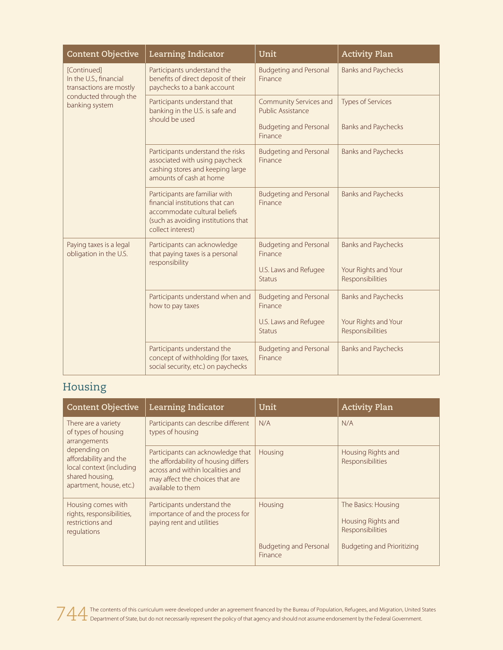| <b>Content Objective</b>                                                                                    | <b>Learning Indicator</b>                                                                                                                                     | Unit                                        | <b>Activity Plan</b>                     |
|-------------------------------------------------------------------------------------------------------------|---------------------------------------------------------------------------------------------------------------------------------------------------------------|---------------------------------------------|------------------------------------------|
| [Continued]<br>In the U.S., financial<br>transactions are mostly<br>conducted through the<br>banking system | Participants understand the<br>benefits of direct deposit of their<br>paychecks to a bank account                                                             | <b>Budgeting and Personal</b><br>Finance    | <b>Banks and Paychecks</b>               |
|                                                                                                             | Participants understand that<br>banking in the U.S. is safe and<br>should be used                                                                             | Community Services and<br>Public Assistance | <b>Types of Services</b>                 |
|                                                                                                             |                                                                                                                                                               | <b>Budgeting and Personal</b><br>Finance    | <b>Banks and Paychecks</b>               |
|                                                                                                             | Participants understand the risks<br>associated with using paycheck<br>cashing stores and keeping large<br>amounts of cash at home                            | <b>Budgeting and Personal</b><br>Finance    | <b>Banks and Paychecks</b>               |
|                                                                                                             | Participants are familiar with<br>financial institutions that can<br>accommodate cultural beliefs<br>(such as avoiding institutions that<br>collect interest) | <b>Budgeting and Personal</b><br>Finance    | <b>Banks and Paychecks</b>               |
| Paying taxes is a legal<br>obligation in the U.S.                                                           | Participants can acknowledge<br>that paying taxes is a personal<br>responsibility                                                                             | <b>Budgeting and Personal</b><br>Finance    | <b>Banks and Paychecks</b>               |
|                                                                                                             |                                                                                                                                                               | U.S. Laws and Refugee<br><b>Status</b>      | Your Rights and Your<br>Responsibilities |
|                                                                                                             | Participants understand when and<br>how to pay taxes                                                                                                          | <b>Budgeting and Personal</b><br>Finance    | <b>Banks and Paychecks</b>               |
|                                                                                                             |                                                                                                                                                               | U.S. Laws and Refugee<br><b>Status</b>      | Your Rights and Your<br>Responsibilities |
|                                                                                                             | Participants understand the<br>concept of withholding (for taxes,<br>social security, etc.) on paychecks                                                      | <b>Budgeting and Personal</b><br>Finance    | <b>Banks and Paychecks</b>               |

### Housing

| <b>Content Objective</b>                                                                                        | Learning Indicator                                                                                                                                                    | Unit                                     | <b>Activity Plan</b>                                                                               |
|-----------------------------------------------------------------------------------------------------------------|-----------------------------------------------------------------------------------------------------------------------------------------------------------------------|------------------------------------------|----------------------------------------------------------------------------------------------------|
| There are a variety<br>of types of housing<br>arrangements                                                      | Participants can describe different<br>types of housing                                                                                                               | N/A                                      | N/A                                                                                                |
| depending on<br>affordability and the<br>local context (including<br>shared housing,<br>apartment, house, etc.) | Participants can acknowledge that<br>the affordability of housing differs<br>across and within localities and<br>may affect the choices that are<br>available to them | Housing                                  | Housing Rights and<br>Responsibilities                                                             |
| Housing comes with<br>rights, responsibilities,<br>restrictions and<br>regulations                              | Participants understand the<br>importance of and the process for<br>paying rent and utilities                                                                         | Housing<br><b>Budgeting and Personal</b> | The Basics: Housing<br>Housing Rights and<br>Responsibilities<br><b>Budgeting and Prioritizing</b> |
|                                                                                                                 |                                                                                                                                                                       | Finance                                  |                                                                                                    |

744 The contents of this curriculum were developed under an agreement financed by the Bureau of Population, Refugees, and Migration, United States<br>Department of State, but do not necessarily represent the policy of that ag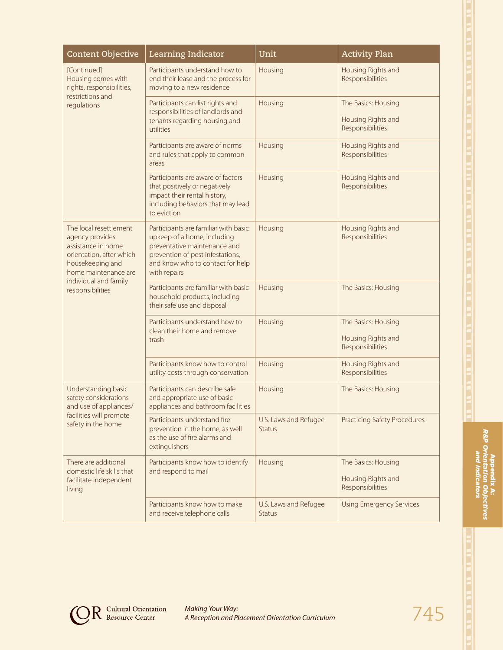| <b>Content Objective</b>                                                                                                                | Learning Indicator                                                                                                                                                                          | Unit                                   | <b>Activity Plan</b>                                          |
|-----------------------------------------------------------------------------------------------------------------------------------------|---------------------------------------------------------------------------------------------------------------------------------------------------------------------------------------------|----------------------------------------|---------------------------------------------------------------|
| [Continued]<br>Housing comes with<br>rights, responsibilities,                                                                          | Participants understand how to<br>end their lease and the process for<br>moving to a new residence                                                                                          | Housing                                | Housing Rights and<br>Responsibilities                        |
| restrictions and<br>regulations                                                                                                         | Participants can list rights and<br>responsibilities of landlords and<br>tenants regarding housing and<br>utilities                                                                         | Housing                                | The Basics: Housing<br>Housing Rights and<br>Responsibilities |
|                                                                                                                                         | Participants are aware of norms<br>and rules that apply to common<br>areas                                                                                                                  | Housing                                | Housing Rights and<br>Responsibilities                        |
|                                                                                                                                         | Participants are aware of factors<br>that positively or negatively<br>impact their rental history,<br>including behaviors that may lead<br>to eviction                                      | Housing                                | Housing Rights and<br>Responsibilities                        |
| The local resettlement<br>agency provides<br>assistance in home<br>orientation, after which<br>housekeeping and<br>home maintenance are | Participants are familiar with basic<br>upkeep of a home, including<br>preventative maintenance and<br>prevention of pest infestations,<br>and know who to contact for help<br>with repairs | Housing                                | Housing Rights and<br>Responsibilities                        |
| individual and family<br>responsibilities                                                                                               | Participants are familiar with basic<br>household products, including<br>their safe use and disposal                                                                                        | Housing                                | The Basics: Housing                                           |
|                                                                                                                                         | Participants understand how to<br>clean their home and remove<br>trash                                                                                                                      | Housing                                | The Basics: Housing<br>Housing Rights and<br>Responsibilities |
|                                                                                                                                         | Participants know how to control<br>utility costs through conservation                                                                                                                      | Housing                                | Housing Rights and<br>Responsibilities                        |
| Understanding basic<br>safety considerations<br>and use of appliances/<br>facilities will promote<br>safety in the home                 | Participants can describe safe<br>and appropriate use of basic<br>appliances and bathroom facilities                                                                                        | Housing                                | The Basics: Housing                                           |
|                                                                                                                                         | Participants understand fire<br>prevention in the home, as well<br>as the use of fire alarms and<br>extinguishers                                                                           | U.S. Laws and Refugee<br><b>Status</b> | <b>Practicing Safety Procedures</b>                           |
| There are additional<br>domestic life skills that<br>facilitate independent<br>living                                                   | Participants know how to identify<br>and respond to mail                                                                                                                                    | Housing                                | The Basics: Housing<br>Housing Rights and<br>Responsibilities |
|                                                                                                                                         | Participants know how to make<br>and receive telephone calls                                                                                                                                | U.S. Laws and Refugee<br><b>Status</b> | <b>Using Emergency Services</b>                               |



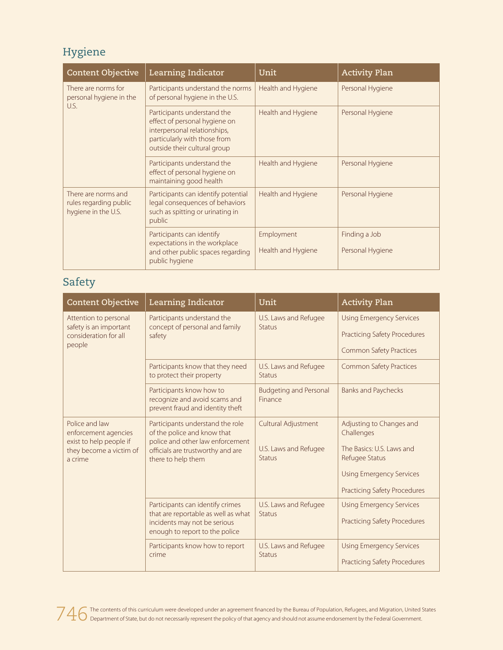## Hygiene

| <b>Content Objective</b>                                             | Learning Indicator                                                                                                                                           | Unit                             | <b>Activity Plan</b>              |
|----------------------------------------------------------------------|--------------------------------------------------------------------------------------------------------------------------------------------------------------|----------------------------------|-----------------------------------|
| There are norms for<br>personal hygiene in the<br>U.S.               | Participants understand the norms<br>of personal hygiene in the U.S.                                                                                         | Health and Hygiene               | Personal Hygiene                  |
|                                                                      | Participants understand the<br>effect of personal hygiene on<br>interpersonal relationships,<br>particularly with those from<br>outside their cultural group | Health and Hygiene               | Personal Hygiene                  |
|                                                                      | Participants understand the<br>effect of personal hygiene on<br>maintaining good health                                                                      | Health and Hygiene               | Personal Hygiene                  |
| There are norms and<br>rules regarding public<br>hygiene in the U.S. | Participants can identify potential<br>legal consequences of behaviors<br>such as spitting or urinating in<br>public                                         | Health and Hygiene               | Personal Hygiene                  |
|                                                                      | Participants can identify<br>expectations in the workplace<br>and other public spaces regarding<br>public hygiene                                            | Employment<br>Health and Hygiene | Finding a Job<br>Personal Hygiene |

### Safety

| <b>Content Objective</b>                                                                                | Learning Indicator                                                                                                                                             | Unit                                                          | <b>Activity Plan</b>                                                                                                                                            |
|---------------------------------------------------------------------------------------------------------|----------------------------------------------------------------------------------------------------------------------------------------------------------------|---------------------------------------------------------------|-----------------------------------------------------------------------------------------------------------------------------------------------------------------|
| Attention to personal<br>safety is an important<br>consideration for all<br>people                      | Participants understand the<br>concept of personal and family<br>safety                                                                                        | U.S. Laws and Refugee<br>Status                               | <b>Using Emergency Services</b><br><b>Practicing Safety Procedures</b><br><b>Common Safety Practices</b>                                                        |
|                                                                                                         | Participants know that they need<br>to protect their property                                                                                                  | U.S. Laws and Refugee<br><b>Status</b>                        | <b>Common Safety Practices</b>                                                                                                                                  |
|                                                                                                         | Participants know how to<br>recognize and avoid scams and<br>prevent fraud and identity theft                                                                  | <b>Budgeting and Personal</b><br>Finance                      | <b>Banks and Paychecks</b>                                                                                                                                      |
| Police and law<br>enforcement agencies<br>exist to help people if<br>they become a victim of<br>a crime | Participants understand the role<br>of the police and know that<br>police and other law enforcement<br>officials are trustworthy and are<br>there to help them | Cultural Adjustment<br>U.S. Laws and Refugee<br><b>Status</b> | Adjusting to Changes and<br>Challenges<br>The Basics: U.S. Laws and<br>Refugee Status<br><b>Using Emergency Services</b><br><b>Practicing Safety Procedures</b> |
|                                                                                                         | Participants can identify crimes<br>that are reportable as well as what<br>incidents may not be serious<br>enough to report to the police                      | U.S. Laws and Refugee<br><b>Status</b>                        | <b>Using Emergency Services</b><br><b>Practicing Safety Procedures</b>                                                                                          |
|                                                                                                         | Participants know how to report<br>crime                                                                                                                       | U.S. Laws and Refugee<br><b>Status</b>                        | <b>Using Emergency Services</b><br><b>Practicing Safety Procedures</b>                                                                                          |

746 The contents of this curriculum were developed under an agreement financed by the Bureau of Population, Refugees, and Migration, United States<br>746 Department of State, but do not necessarily represent the policy of tha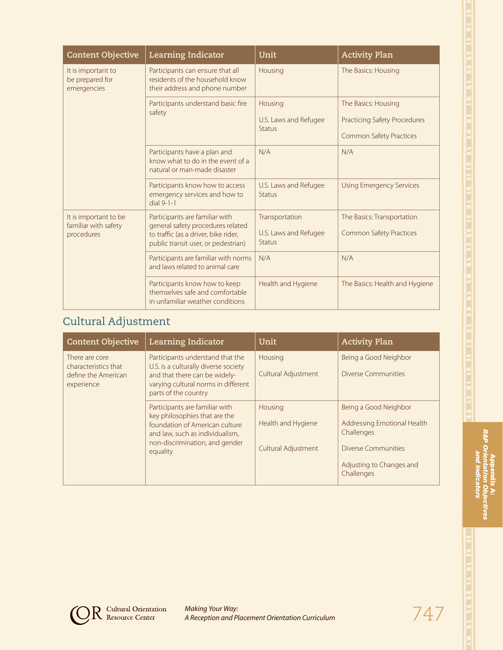| ٠      |   |
|--------|---|
|        |   |
|        |   |
|        |   |
|        |   |
|        |   |
|        |   |
| S      |   |
|        |   |
| E      |   |
|        |   |
|        |   |
| E      |   |
|        |   |
| ۳      |   |
|        |   |
|        |   |
| E      |   |
|        |   |
| É      |   |
|        |   |
|        |   |
| ÷<br>□ | l |
|        |   |
|        |   |
| ۰      |   |
|        |   |
|        |   |
|        |   |
|        |   |
|        |   |
|        |   |
| ×      |   |
|        |   |
| ×      |   |
|        |   |
| ×      |   |
|        |   |
| E      |   |
|        |   |
|        |   |
| ٥      |   |
|        |   |
|        |   |
| Ξ      |   |
|        |   |
| п      |   |
|        |   |
|        |   |
|        |   |
|        |   |
|        |   |
|        |   |
|        |   |
|        |   |
|        |   |
|        |   |
|        |   |
|        |   |
|        |   |
|        |   |

|  | Content Objective                                           | Learning Indicator                                                                                                                                 | Unit                                              | <b>Activity Plan</b>                                                                         |
|--|-------------------------------------------------------------|----------------------------------------------------------------------------------------------------------------------------------------------------|---------------------------------------------------|----------------------------------------------------------------------------------------------|
|  | It is important to<br>be prepared for<br>emergencies        | Participants can ensure that all<br>residents of the household know<br>their address and phone number                                              | Housing                                           | The Basics: Housing                                                                          |
|  |                                                             | Participants understand basic fire<br>safety                                                                                                       | Housing<br>U.S. Laws and Refugee<br>Status        | The Basics: Housing<br><b>Practicing Safety Procedures</b><br><b>Common Safety Practices</b> |
|  |                                                             | Participants have a plan and<br>know what to do in the event of a<br>natural or man-made disaster                                                  | N/A                                               | N/A                                                                                          |
|  |                                                             | Participants know how to access<br>emergency services and how to<br>$dial$ 9-1-1                                                                   | U.S. Laws and Refugee<br><b>Status</b>            | <b>Using Emergency Services</b>                                                              |
|  | It is important to be<br>familiar with safety<br>procedures | Participants are familiar with<br>general safety procedures related<br>to traffic (as a driver, bike rider,<br>public transit user, or pedestrian) | Transportation<br>U.S. Laws and Refugee<br>Status | The Basics: Transportation<br><b>Common Safety Practices</b>                                 |
|  |                                                             | Participants are familiar with norms<br>and laws related to animal care                                                                            | N/A                                               | N/A                                                                                          |
|  |                                                             | Participants know how to keep<br>themselves safe and comfortable<br>in unfamiliar weather conditions                                               | Health and Hygiene                                | The Basics: Health and Hygiene                                                               |
|  | Cultural Adjustment                                         |                                                                                                                                                    |                                                   |                                                                                              |
|  | <b>Content Objective</b>                                    | Learning Indicator                                                                                                                                 | Unit                                              | <b>Activity Plan</b>                                                                         |
|  | There are core                                              | Participants understand that the                                                                                                                   | Housing                                           | Being a Good Neighbor                                                                        |

| There are core<br>characteristics that<br>define the American<br>experience | Participants understand that the<br>U.S. is a culturally diverse society<br>and that there can be widely-<br>varying cultural norms in different<br>parts of the country           | Housing<br>Cultural Adjustment                       | Being a Good Neighbor<br><b>Diverse Communities</b>                                                                                        |
|-----------------------------------------------------------------------------|------------------------------------------------------------------------------------------------------------------------------------------------------------------------------------|------------------------------------------------------|--------------------------------------------------------------------------------------------------------------------------------------------|
|                                                                             | Participants are familiar with<br>key philosophies that are the<br>foundation of American culture<br>and law, such as individualism,<br>non-discrimination, and gender<br>equality | Housing<br>Health and Hygiene<br>Cultural Adjustment | Being a Good Neighbor<br>Addressing Emotional Health<br>Challenges<br><b>Diverse Communities</b><br>Adjusting to Changes and<br>Challenges |

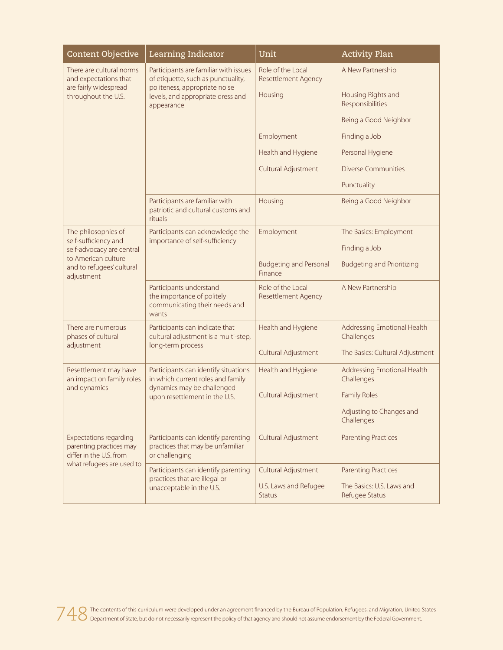| <b>Content Objective</b>                                                            | Learning Indicator                                                                                                                                              | Unit                                            | <b>Activity Plan</b>                        |
|-------------------------------------------------------------------------------------|-----------------------------------------------------------------------------------------------------------------------------------------------------------------|-------------------------------------------------|---------------------------------------------|
| There are cultural norms<br>and expectations that                                   | Participants are familiar with issues<br>of etiquette, such as punctuality,<br>politeness, appropriate noise<br>levels, and appropriate dress and<br>appearance | Role of the Local<br><b>Resettlement Agency</b> | A New Partnership                           |
| are fairly widespread<br>throughout the U.S.                                        |                                                                                                                                                                 | Housing                                         | Housing Rights and<br>Responsibilities      |
|                                                                                     |                                                                                                                                                                 |                                                 | Being a Good Neighbor                       |
|                                                                                     |                                                                                                                                                                 | Employment                                      | Finding a Job                               |
|                                                                                     |                                                                                                                                                                 | Health and Hygiene                              | Personal Hygiene                            |
|                                                                                     |                                                                                                                                                                 | Cultural Adjustment                             | <b>Diverse Communities</b>                  |
|                                                                                     |                                                                                                                                                                 |                                                 | Punctuality                                 |
|                                                                                     | Participants are familiar with<br>patriotic and cultural customs and<br>rituals                                                                                 | Housing                                         | Being a Good Neighbor                       |
| The philosophies of<br>self-sufficiency and                                         | Participants can acknowledge the<br>importance of self-sufficiency                                                                                              | Employment                                      | The Basics: Employment                      |
| self-advocacy are central                                                           |                                                                                                                                                                 |                                                 | Finding a Job                               |
| to American culture<br>and to refugees' cultural<br>adjustment                      |                                                                                                                                                                 | <b>Budgeting and Personal</b><br>Finance        | <b>Budgeting and Prioritizing</b>           |
|                                                                                     | Participants understand<br>the importance of politely<br>communicating their needs and<br>wants                                                                 | Role of the Local<br>Resettlement Agency        | A New Partnership                           |
| There are numerous<br>phases of cultural                                            | Participants can indicate that<br>cultural adjustment is a multi-step,                                                                                          | Health and Hygiene                              | Addressing Emotional Health<br>Challenges   |
| adjustment                                                                          | long-term process                                                                                                                                               | Cultural Adjustment                             | The Basics: Cultural Adjustment             |
| Resettlement may have<br>an impact on family roles                                  | Participants can identify situations<br>in which current roles and family<br>dynamics may be challenged<br>upon resettlement in the U.S.                        | Health and Hygiene                              | Addressing Emotional Health<br>Challenges   |
| and dynamics                                                                        |                                                                                                                                                                 | Cultural Adjustment                             | <b>Family Roles</b>                         |
|                                                                                     |                                                                                                                                                                 |                                                 | Adjusting to Changes and<br>Challenges      |
| <b>Expectations regarding</b><br>parenting practices may<br>differ in the U.S. from | Participants can identify parenting<br>practices that may be unfamiliar<br>or challenging                                                                       | Cultural Adjustment                             | <b>Parenting Practices</b>                  |
| what refugees are used to                                                           | Participants can identify parenting<br>practices that are illegal or<br>unacceptable in the U.S.                                                                | Cultural Adjustment                             | <b>Parenting Practices</b>                  |
|                                                                                     |                                                                                                                                                                 | U.S. Laws and Refugee<br><b>Status</b>          | The Basics: U.S. Laws and<br>Refugee Status |

748 The contents of this curriculum were developed under an agreement financed by the Bureau of Population, Refugees, and Migration, United States Department of States but do not necessarily represent the policy of that ag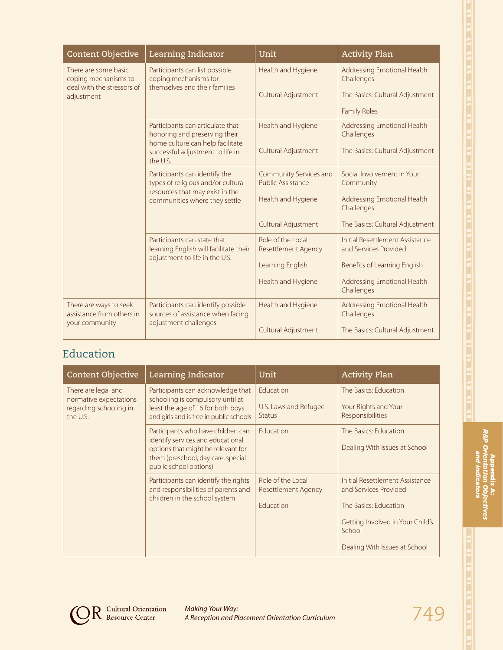| <b>Content Objective</b>                                                   | Learning Indicator                                                                                      | Unit                                                            | <b>Activity Plan</b>                                     |
|----------------------------------------------------------------------------|---------------------------------------------------------------------------------------------------------|-----------------------------------------------------------------|----------------------------------------------------------|
| There are some basic<br>coping mechanisms to<br>deal with the stressors of | Participants can list possible<br>coping mechanisms for<br>themselves and their families                | Health and Hygiene                                              | Addressing Emotional Health<br>Challenges                |
| adjustment                                                                 |                                                                                                         | Cultural Adjustment                                             | The Basics: Cultural Adjustment                          |
|                                                                            |                                                                                                         |                                                                 | <b>Family Roles</b>                                      |
|                                                                            | Participants can articulate that<br>honoring and preserving their                                       | Health and Hygiene                                              | Addressing Emotional Health<br>Challenges                |
|                                                                            | home culture can help facilitate<br>successful adjustment to life in<br>the U.S.                        | Cultural Adjustment                                             | The Basics: Cultural Adjustment                          |
|                                                                            | Participants can identify the<br>types of religious and/or cultural                                     | Community Services and<br>Public Assistance                     | Social Involvement in Your<br>Community                  |
|                                                                            | resources that may exist in the<br>communities where they settle                                        | Health and Hygiene<br>Addressing Emotional Health<br>Challenges |                                                          |
|                                                                            |                                                                                                         | Cultural Adjustment                                             | The Basics: Cultural Adjustment                          |
|                                                                            | Participants can state that<br>learning English will facilitate their<br>adjustment to life in the U.S. | Role of the Local<br><b>Resettlement Agency</b>                 | Initial Resettlement Assistance<br>and Services Provided |
|                                                                            |                                                                                                         | Learning English                                                | Benefits of Learning English                             |
|                                                                            |                                                                                                         | Health and Hygiene                                              | Addressing Emotional Health<br>Challenges                |
| There are ways to seek<br>assistance from others in<br>your community      | Participants can identify possible<br>sources of assistance when facing<br>adjustment challenges        | Health and Hygiene                                              | Addressing Emotional Health<br>Challenges                |
|                                                                            |                                                                                                         | Cultural Adjustment                                             | The Basics: Cultural Adjustment                          |

# Education

| <b>Content Objective</b>                                                            | Learning Indicator                                                                                                                                                            | Unit                                                         | <b>Activity Plan</b>                                                                                                                                             |
|-------------------------------------------------------------------------------------|-------------------------------------------------------------------------------------------------------------------------------------------------------------------------------|--------------------------------------------------------------|------------------------------------------------------------------------------------------------------------------------------------------------------------------|
| There are legal and<br>normative expectations<br>regarding schooling in<br>the U.S. | Participants can acknowledge that<br>schooling is compulsory until at<br>least the age of 16 for both boys<br>and girls and is free in public schools                         | Education<br>U.S. Laws and Refugee<br><b>Status</b>          | The Basics: Education<br>Your Rights and Your<br>Responsibilities                                                                                                |
|                                                                                     | Participants who have children can<br>identify services and educational<br>options that might be relevant for<br>them (preschool, day care, special<br>public school options) | <b>Education</b>                                             | The Basics: Education<br>Dealing With Issues at School                                                                                                           |
|                                                                                     | Participants can identify the rights<br>and responsibilities of parents and<br>children in the school system                                                                  | Role of the Local<br><b>Resettlement Agency</b><br>Education | Initial Resettlement Assistance<br>and Services Provided<br>The Basics: Education<br>Getting Involved in Your Child's<br>School<br>Dealing With Issues at School |



**OR** Cultural Orientation

*Making Your Way: A Reception and Placement Orientation Curriculum* 749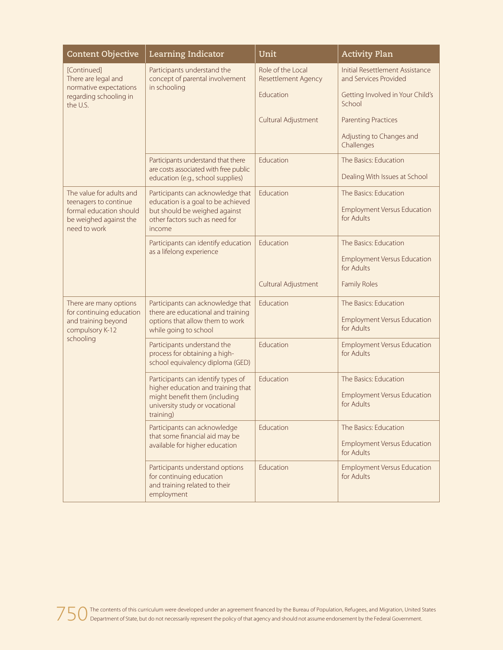| <b>Content Objective</b>                                          | <b>Learning Indicator</b>                                                                                  | Unit                                            | <b>Activity Plan</b>                                            |
|-------------------------------------------------------------------|------------------------------------------------------------------------------------------------------------|-------------------------------------------------|-----------------------------------------------------------------|
| [Continued]<br>There are legal and                                | Participants understand the<br>concept of parental involvement                                             | Role of the Local<br><b>Resettlement Agency</b> | <b>Initial Resettlement Assistance</b><br>and Services Provided |
| normative expectations<br>regarding schooling in<br>the U.S.      | in schooling                                                                                               | Education                                       | Getting Involved in Your Child's<br>School                      |
|                                                                   |                                                                                                            | Cultural Adjustment                             | <b>Parenting Practices</b>                                      |
|                                                                   |                                                                                                            |                                                 | Adjusting to Changes and<br>Challenges                          |
|                                                                   | Participants understand that there<br>are costs associated with free public                                | Education                                       | The Basics: Education                                           |
|                                                                   | education (e.g., school supplies)                                                                          |                                                 | Dealing With Issues at School                                   |
| The value for adults and<br>teenagers to continue                 | Participants can acknowledge that<br>education is a goal to be achieved                                    | Education                                       | The Basics: Education                                           |
| formal education should<br>be weighed against the<br>need to work | but should be weighed against<br>other factors such as need for<br>income                                  |                                                 | <b>Employment Versus Education</b><br>for Adults                |
|                                                                   | Participants can identify education<br>as a lifelong experience                                            | Education                                       | The Basics: Education                                           |
|                                                                   |                                                                                                            |                                                 | <b>Employment Versus Education</b><br>for Adults                |
|                                                                   |                                                                                                            | Cultural Adjustment                             | <b>Family Roles</b>                                             |
| There are many options<br>for continuing education                | Participants can acknowledge that<br>there are educational and training                                    | Education                                       | The Basics: Education                                           |
| and training beyond<br>compulsory K-12                            | options that allow them to work<br>while going to school                                                   |                                                 | <b>Employment Versus Education</b><br>for Adults                |
| schooling                                                         | Participants understand the<br>process for obtaining a high-<br>school equivalency diploma (GED)           | Education                                       | <b>Employment Versus Education</b><br>for Adults                |
|                                                                   | Participants can identify types of<br>higher education and training that                                   | Education                                       | The Basics: Education                                           |
|                                                                   | might benefit them (including<br>university study or vocational<br>training)                               |                                                 | <b>Employment Versus Education</b><br>for Adults                |
|                                                                   | Participants can acknowledge<br>that some financial aid may be<br>available for higher education           | Education                                       | The Basics: Education                                           |
|                                                                   |                                                                                                            |                                                 | <b>Employment Versus Education</b><br>for Adults                |
|                                                                   | Participants understand options<br>for continuing education<br>and training related to their<br>employment | Education                                       | <b>Employment Versus Education</b><br>for Adults                |

750 The contents of this curriculum were developed under an agreement financed by the Bureau of Population, Refugees, and Migration, United States<br>750 Department of State, but do not necessarily represent the policy of tha